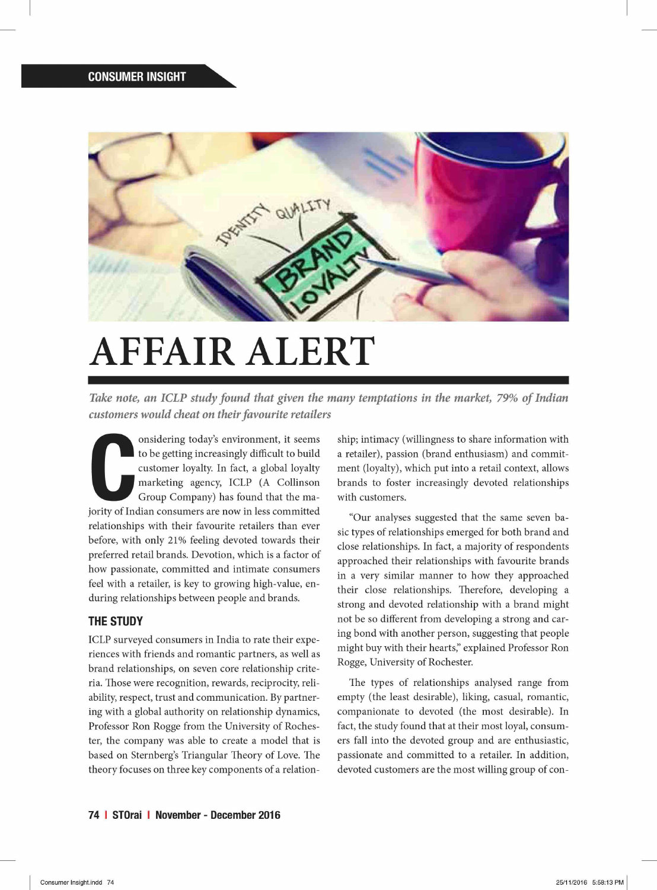

## **AFFAIR ALERT**

*Take note, an ICLP study found that given the many temptations in the market, 79% of Indian customers would cheat on their favourite retailers* 

onsidering today's environment, it seems<br>to be getting increasingly difficult to build<br>customer loyalty. In fact, a global loyalty<br>marketing agency, ICLP (A Collinson<br>Group Company) has found that the ma-<br>jority of Indian onsidering today's environment, it seems to be getting increasingly difficult to build customer loyalty. In fact, a global loyalty marketing agency, ICLP (A Collinson Group Company) has found that the marelationships with their favourite retailers than ever before, with only 21% feeling devoted towards their preferred retail brands. Devotion, which is a factor of how passionate, committed and intimate consumers feel with a retailer, is key to growing high-value, enduring relationships between people and brands.

## **THE STUDY**

ICLP surveyed consumers in India to rate their experiences with friends and romantic partners, as well as brand relationships, on seven core relationship criteria. Those were recognition, rewards, reciprocity, reliability, respect, trust and communication. By partnering with a global authority on relationship dynamics, Professor Ron Rogge from the University of Rochester, the company was able to create a model that is based on Sternberg's Triangular Theory of Love. The theory focuses on three key components of a relationship; intimacy (willingness to share information with a retailer), passion (brand enthusiasm) and commitment (loyalty), which put into a retail context, allows brands to foster increasingly devoted relationships with customers.

"Our analyses suggested that the same seven basic types of relationships emerged for both brand and close relationships. In fact, a majority of respondents approached their relationships with favourite brands in a very similar manner to how they approached their close relationships. Therefore, developing a strong and devoted relationship with a brand might not be so different from developing a strong and caring bond with another person, suggesting that people might buy with their hearts," explained Professor Ron Rogge, University of Rochester.

The types of relationships analysed range from empty (the least desirable), liking, casual, romantic, companionate to devoted (the most desirable). In fact, the study found that at their most loyal, consumers fall into the devoted group and are enthusiastic, passionate and committed to a retailer. In addition, devoted customers are the most willing group of con-

**74 I STOrai I November - December 2016**